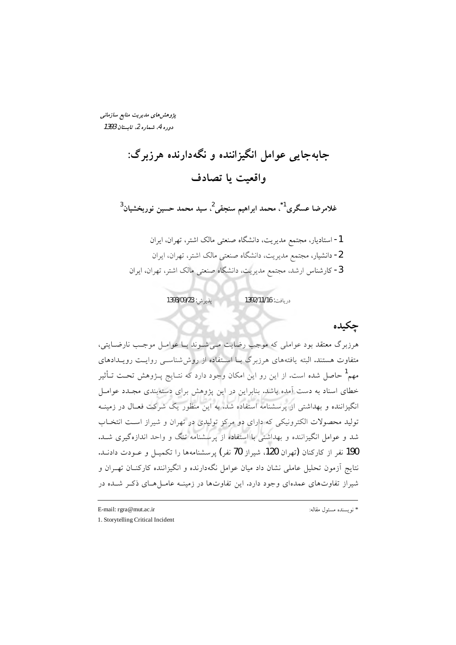یژوهشهای مدیریت منابع سازمانی دوره 4، شماره 2، تابستان 1393

> جابهجایی عوامل انگیزاننده و نگهدارنده هرزبرگ: واقعيت يا تصادف

غلامرضا عسگری<sup>1</sup>ٌ، محمد ابراهیم سنجقی<sup>2</sup>، سید محمد حسین نوربخشیان<sup>3</sup>

1- استادیار، مجتمع مدیریت، دانشگاه صنعتی مالک اشتر، تهران، ایران 2- دانشیار، مجتمع مدیریت، دانشگاه صنعتی مالک اشتر، تهران، ایران <mark>3</mark>- کارشناس ارشد، مجتمع مدیریت، دانشگاه صنعتی مالک اشتر، تهران، ایران

> پذیرش: 1393/09/23 دريافت: 1392/11/16

> > چکیده

هرزبرگ معتقد بود عواملی که موجب رضایت مے شـوند بـا عوامـل موجـب نارضـایتی، متفاوت هستند. البته یافتههای هرزبرگ بــا اســتفاده از روششناســی روایــت رویــدادهای مهم<sup>1</sup> حاصل شده است. از این رو این امکان وجود دارد که نتـایج پــژوهش تحـت تــأثیر خطای اسناد به دست آمده باشد. بنابراین در این پژوهش برای دستهبندی مجـدد عوامـل انگیزاننده و بهداشتی از پرسشنامه استفاده شد. به این منظور یک شرکت فعـال در زمینـه تولید محصولات الکترونیکی که دارای دو مرکز تولیدی در تهران و شیراز است انتخـاب شد و عوامل انگیزاننده و بهداشتی با استفاده از پرسشنامه تنگ و واحد اندازهگیری شــد. 190 نفر از کارکنان (تهران 120، شیراز 70 نفر) پرسشنامهها را تکمیـل و عــودت دادنــد. نتایج آزمون تحلیل عاملی نشان داد میان عوامل نگهدارنده و انگیزاننده کارکنــان تهــران و شیراز تفاوتهای عمدهای وجود دارد. این تفاوتها در زمینـه عامـلهـای ذکـر شـده در

E-mail: rgra@mut.ac.ir

1. Storytelling Critical Incident

\* نو يسنده مسئول مقاله: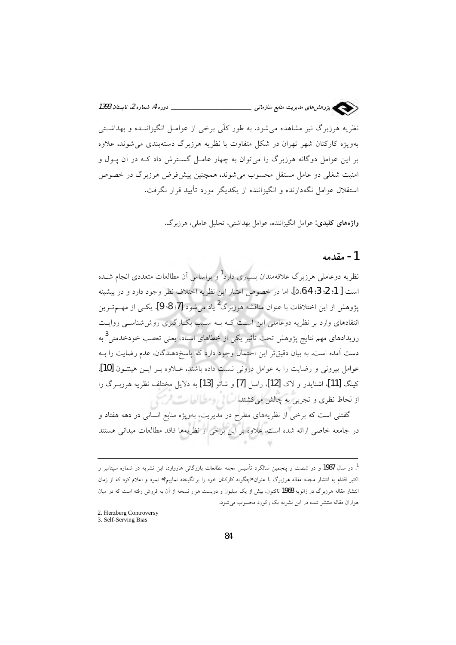

واژههای کلیدی: عوامل انگیزاننده، عوامل بهداشتی، تحلیل عاملی، هرزبرگ.

#### 1- مقدمه

نظریه دوعاملی هرزبرگ علاقهمندان بسیاری دارد<sup>1</sup>و براساس آن مطالعات متعددی انجام شــده است [ 1؛ 2؛ 3؛ 4؛6،6]، اما در خصوص اعتبار اين نظريه اختلاف نظر وجود دارد و در پيشينه یژوهش از این اختلافات با عنوان مناقشه هرزبرگ<sup>2</sup> یاد می شود [7: 8: 9]. یکــی از مهــمتــرین انتقادهای وارد بر نظریه دوعاملی این است کـه بـه سـبب بکـارگیری روش شناسـی روایـت رویدادهای مهم نتایج پژوهش تحت تأثیر یکی از خطاهای اسناد، یعنی تعصب خودخدمتی<sup>3</sup> به دست آمده است. به بیان دقیقتر این احتمال وجود دارد که پاسخدهندگان، عدم رضایت را بـه عوامل بيروني و رضايت را به عوامل دروني نسبت داده باشند. عـلاوه بـر ايـن هينتـون [10]، كينگ [11]، اشنايدر و لاک [12]، راسل [7] و شائو [13] به دلايل مختلف نظريه هرزب گ را از لحاظ نظری و تجربی به چالش میگشتد! اسا با رومطرالها ست افزاع

گفتنی است که برخی از نظریههای مطرح در مدیریت، بهویژه منابع انسانی در دهه هفتاد و در جامعه خاصی ارائه شده است. علاوه بر این برخی از نظریهها فاقد مطالعات میدانی هستند

2. Herzberg Controversy

<sup>&</sup>lt;sup>1</sup>. در سال **1987** و در شصت و ينجمين سالگرد تأسيس مجله مطالعات بازرگان<sub>ی</sub> هاروارد، اين نشريه در شماره سيتامبر و اکتبر اقدام به انتشار مجدد مقاله هرزبرگ با عنوان «چگونه کارکنان خود را برانگیخته نماییم؟» نمود و اعلام کرد که از زمان انتشار مقاله هرزبرگ در ژانویه 1968 تاکنون، بیش از یک میلیون و دویست هزار نسخه از آن به فروش رفته است که در میان هزاران مقاله منتشر شده در این نشریه یک رکورد محسوب می شود.

<sup>3.</sup> Self-Serving Bias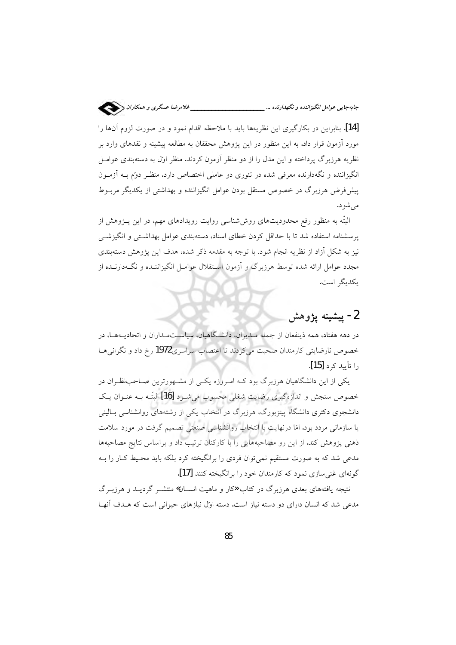[14]. بنابراین در بکارگیری این نظریهها باید با ملاحظه اقدام نمود و در صورت لزوم آنها را مورد آزمون قرار داد. به این منظور در این پژوهش محققان به مطالعه پیشینه و نقدهای وارد بر نظریه هرزبرگ پرداخته و این مدل را از دو منظر آزمون کردند. منظر اول به دستهبندی عوامـل انگیزاننده و نگهدارنده معرفی شده در تئوری دو عاملی اختصاص دارد. منظـر دوم بــه آزمــون پیشفر ض هرزبرگ در خصوص مستقل بودن عوامل انگیزاننده و بهداشتی از یکدیگر مربـوط مے شو د.

البتّه به منظور رفع محدودیتهای روششناسی روایت رویدادهای مهم، در این پــژوهش از پرسشنامه استفاده شد تا با حداقل کردن خطای اسناد، دستهبندی عوامل بهداشتی و انگیزشــی نیز به شکل آزاد از نظریه انجام شود. با توجه به مقدمه ذکر شده، هدف این پژوهش دستهبندی مجدد عوامل ارائه شده توسط هرزبرگ و آزمون اسـتقلال عوامـل انگیزاننـده و نگـهدارنــده از یکدیگر است.

## 2- ييشينه يژوهش

در دهه هفتاد، همه ذینفعان از جمله مـدیران، دانشـگاهیان، سیاســتمـداران و اتحادیــههــا، در خصوص نارضایتی کارمندان صحبت می کردند تا اعتصاب سراسری1972 رخ داد و نگرانی هـا را تأييد كر**د [15**].

یکی از این دانشگاهیان هرزبرگ بود کـه امـروزه یکـی از مشـهورترین صـاحب:ظـران در خصوص سنجش و اندازهگیری رضایت شغلی محسوب می شـود [16] البتّـه بـه عنـوان یـک دانشجوی دکتری دانشگاه پیتزبورگ، هرزبرگ در انتخاب یکی از رشتههای روانشناسی بــالینی یا سازمانی مردد بود. امّا درنهایت با انتخاب روانشناسی صنعتی تصمیم گرفت در مورد سلامت ذهنی پژوهش کند. از این رو مصاحبههایی را با کارکنان ترتیب داد و براساس نتایج مصاحبهها مدعی شد که به صورت مستقیم نمی توان فردی را برانگیخته کرد بلکه باید محـیط کـار را بـه گونهای غنی سازی نمود که کارمندان خود را برانگیخته کنند [17].

نتیجه یافتههای بعدی هرزبرگ در کتاب «کار و ماهیت انســان» منتشــر گردیــد و هرزبــرگ مدعی شد که انسان دارای دو دسته نیاز است. دسته اوّل نیازهای حیوانی است که هـدف آنهـا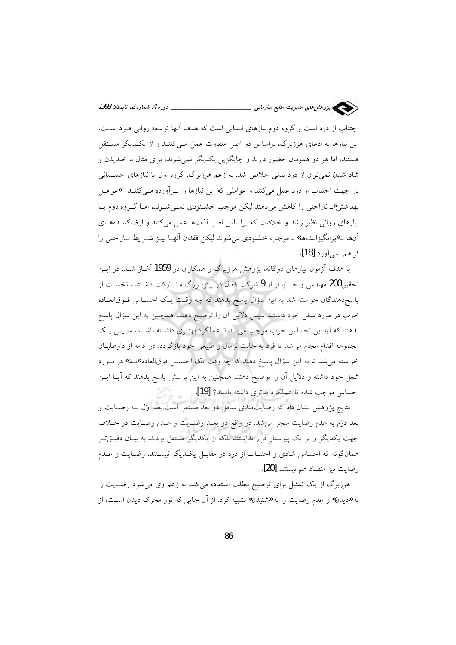

اجتناب از درد است و گروه دوم نیازهای انسانی است که هدف آنها توسعه روانی فـرد اسـت. این نیازها به ادعای هرزبرگ، براساس دو اصل متفاوت عمل مـیکننـد و از یکـدیگر مسـتقل هستند، اما هر دو همزمان حضور دارند و جایگزین یکدیگر نمیشوند، برای مثال با خندیدن و شاد شدن نمی توان از درد بدنی خلاص شد. به زعم هرزبرگ، گروه اول یا نیازهای جسـمانی در جهت اجتناب از درد عمل میکنند و عواملی که این نیازها را بـرآورده مـیکننـد- «عوامـل بهداشتی»ـ ناراحتی را کاهش میدهند لیکن موجب خشـنودی نمـیشـوند. امـا گـروه دوم یـا نیازهای روانی نظیر رشد و خلاقیت که براساس اصل لذتها عمل میکنند و ارضاکننـدههـای آنها ـ «برانگيزانندهها» ـ موجب خشنودي مي شوند ليكن فقدان آنهـا نيـز شـرايط نــاراحتي را فراهم نمي أورد [18].

با هدف آزمون نیازهای دوگانه، پژوهش هرزیرگ و همکاران در 1959 آغــاز شــد. در ایــن تحقیق200 مهندس و حسابدار از 9 شرکت فعال در پیتزبیورگ مشبارکت داشتند. نخست از پاسخ دهندگان خواسته شد به این سؤال پاسخ بدهند که چه وقت یک احسـاس فــوق|لعــاده خوب در مورد شغل خود داشتند سیس دلایل آن را توضیح دهند. همچنین به این سؤال یاسخ بدهند که آیا این احساس خوب موجب می شد تا عملکرد بهتـری داشـته باشـند. سـیس یـک مجموعه اقدام انجام می شد تا فرد به حالت نرمال و طبیعی خود بازگردد. در ادامه از داوطلبان خواسته مي شد تا به اين سؤال پاسخ دهند كه چه وقت يك احساس فوقالعاده «بـلـ» در مـورد شغل خود داشته و دلایل آن را توضیح دهند. همچنین به این پرسش پاسخ بدهند که آیــا ایــن احساس موجب شده تا عملكرد بدترى داشته باشند؟ [19].

نتایج پژوهش نشان داد که رضایتمندی شامل دو بعد مستقل است.بعد اول بـه رضـایت و بعد دوّم به عدم رضایت منجر میشد. در واقع دو بعـد رضـایت و عـدم رضـایت در خـلاف جهت یکدیگر و بر یک پیوستار قرار نداشتند بلکه از یکدیگر مستقل بودند. به بیـان دقیــقتــر همانگونه که احساس شادی و اجتنـاب از درد در مقابـل یکـدیگر نیسـتند، رضـایت و عـدم رضايت نيز متضاد هم نيستند [20].

هرزبرگ از یک تمثیل برای توضیح مطلب استفاده می کند. به زعم وی می شود رضـایت را به «دیدن» و عدم رضایت را به «شنیدن» تشبیه کرد. از آن جایی که نور محرک دیدن است، از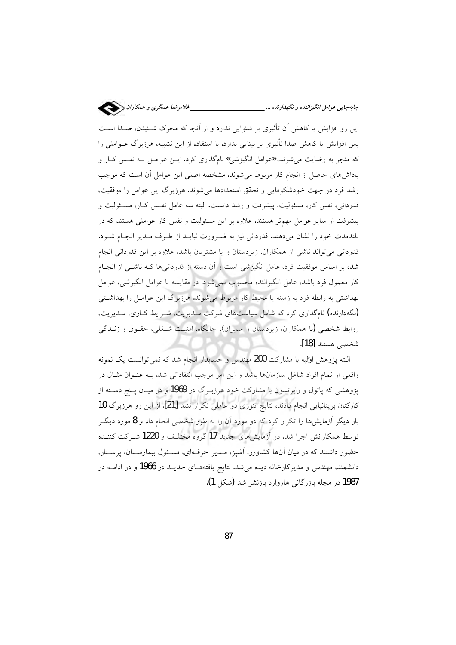این رو افزایش یا کاهش آن تأثیری بر شنوایی ندارد و از آنجا که محرک شـنیدن، صـدا اسـت یس افزایش یا کاهش صدا تأثیری بر بینایی ندارد. با استفاده از این تشبیه، هرزبرگ عــواملی را که منجر به رضایت میشوند، «عوامل انگیزشی» نامگذاری کرد. ایــن عوامــل بــه نفــس کــار و پاداشهای حاصل از انجام کار مربوط می شوند. مشخصه اصلی این عوامل آن است که موجب رشد فرد در جهت خودشکوفایی و تحقق استعدادها می شوند. هرزبرگ این عوامل را موفقیت، قدردانی، نفس کار، مسئولیت، پیشرفت و رشد دانست. البته سه عامل نفس کــار، مســئولیت و پیشرفت از سایر عوامل مهمتر هستند. علاوه بر این مسئولیت و نفس کار عواملی هستند که در بلندمدت خود را نشان مى دهند. قدردانى نيز به ضرورت نبايـد از طـرف مـدير انجـام شـود. قدردانی میتواند ناشی از همکاران، زیردستان و یا مشتریان باشد. علاوه بر این قدردانی انجام شده بر اساس موفقیت فرد، عامل انگیزشی است و آن دسته از قدردانی ها کـه ناشــی از انجــام کار معمول فرد باشد، عامل انگیزاننده محسوب نمیشود. در مقایسه با عوامل انگیزشی، عوامل بهداشتی به رابطه فرد به زمینه یا محیط کار مربوط می شوند. هرزبرگ این عوامــل را بهداشــتی (نگهدارنده) نامگذاری کرد که شامل سیاستهای شرکت مـدیریت، شـرایط کـاری، مـدیریت، روابط شخصی (با همکاران، زیردستان و مدیران)، جایگاه، امنیت شـغلی، حقـوق و زنــدگی شخصى هستند [18].

البته پژوهش اولیه با مشارکت 200 مهندس و حسابدار انجام شد که نمی توانست یک نمونه واقعی از تمام افراد شاغل سازمانها باشد و این امر موجب انتقاداتی شد، بـه عنـوان مثـال در یژوهشی که پائول و رابرتسون با مشارکت خود هرزبـرگ در 1969 و در میـان پـنج دسـته از کارکنان بریتانیایی انجام دادند، نتایج تئوری دو عاملی تکرار نشد [21]. از این رو هرزبرگ 10 بار دیگر آزمایشها را تکرار کرد که دو مورد آن را به طور شخصی انجام داد و 8 مورد دیگـر توسط همکارانش اجرا شد. در آزمایش های جدید 17 گروه مختلـف و 1220 شـرکت کننـده حضور داشتند که در میان آنها کشاورز، آشپز، مـدیر حرفـهای، مسـئول بیمارسـتان، پرسـتار، دانشمند، مهندس و مدیرکارخانه دیده می شد. نتایج یافتههـای جدیــد در 1966 و در ادامــه در 1987 در مجله بازرگانی هاروارد بازنشر شد (شکل 1).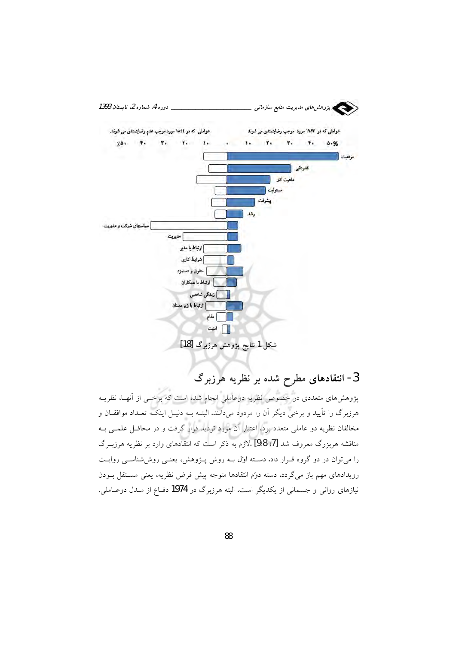

3- انتقادهای مطرح شده بر نظریه هرزبرگ

پژوهشهای متعددی در خصوص نظریه دوعاملی انجام شده است که برخــی از آنهـا، نظریــه هرزبرگ را تأیید و برخی دیگر آن را مردود میدانند. البتـه بـه دلیـل اینکـه تعـداد موافقــان و مخالفان نظریه دو عاملی متعدد بود، اعتبار آن مورد تردید قرار گرفت و در محافـل علمـی بــه مناقشه هربزرگ معروف شد [7؛ 8؛9] .لازم به ذکر است که انتقادهای وارد بر نظریه هرزبـرگ را میتوان در دو گروه قـرار داد. دسـته اول بـه روش پــژوهش، یعنــی روششناســی روایــت رویدادهای مهم باز میگردد. دسته دوّم انتقادها متوجه پیش فرض نظریه، یعنی مسـتقل بــودن نیازهای روانی و جسمانی از یکدیگر است. البته هرزبرگ در 1974 دفءع از مـدل دوعـاملی،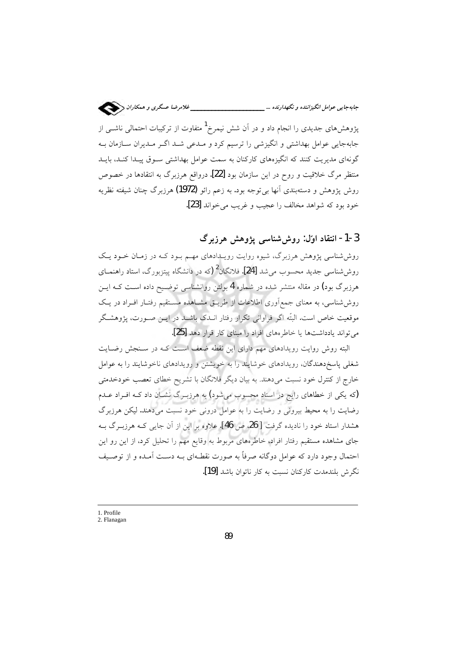ـــــــ غلامرضا عسگرى و همكاران ﴿ 

یژوهشهای جدیدی را انجام داد و در آن شش نیمرخ<sup>1</sup> متفاوت از ترکیبات احتمالی ناشــی از جابهجایی عوامل بهداشتی و انگیزشی را ترسیم کرد و مـدعی شـد اگــر مـدیران ســازمان بــه گونهای مدیریت کنند که انگیزههای کارکنان به سمت عوامل بهداشتی سـوق پیـدا کنـد، بایـد منتظر مرگ خلاقیت و روح در این سازمان بود [22]. درواقع هرزبرگ به انتقادها در خصوص روش پژوهش و دستهبندي آنها بي توجه بود. به زعم رائو (1972) هرزېرگ چنان شيفته نظريه خود بود که شواهد مخالف را عجیب و غریب می خواند [23].

3-1- انتقاد اولٰ: روشششناسی پژوهش هرزبرگ

روششناسی پژوهش هرزبرگ، شیوه روایت رویـدادهای مهـم بـود کـه در زمـان خـود یـک روششناسی جدید محسوب میشد [24]. فلانگان<sup>2</sup> (که در دانشگاه پیتزبورگ، استاد راهنمــای هرزبرگ بود) در مقاله منتشر شده در شماره 4 بولتن روانشناسی توضـیح داده اسـت کـه ایـن روششناسی، به معنای جمعآوری اطلاعات از طریـق مشـاهده مسـتقیم رفتـار افـراد در یـک موقعیت خاص است. البتّه اگر فراوانی تکرار رفتار انــدک باشــد در ایــن صــورت، پژوهشــگر می تواند یادداشتها یا خاطرههای افراد را مبنای کار قرار دهد [25].

البته روش روایت رویدادهای مهم دارای این نقطه ضعف است کـه در سـنجش رضـایت شغلی پاسخدهندگان، رویدادهای خوشایند را به خویشتن و رویدادهای ناخوشایند را به عوامل خارج از کنترل خود نسبت میدهند. به بیان دیگر فلانگان با تشریح خطای تعصب خودخدمتی (که یکی از خطاهای رایج در اسناد محسوب میشود) به هرزبـرگ نشـان داد کـه افـراد عـدم رضایت را به محیط بیرونی و رضایت را به عوامل درونی خود نسبت میدهند. لیکن هرزبرگ هشدار استاد خود را نادیده گرفت [ 26 ص 46]. علاوه بر این از آن جایی کـه هرزبـرگ بـه جای مشاهده مستقیم رفتار افراد، خاطرههای مربوط به وقایع مهم را تحلیل کرد، از این رو این احتمال وجود دارد که عوامل دوگانه صرفاً به صورت نقطـهای بــه دســت آمــده و از توصــیف نگرش بلندمدت کارکنان نسبت به کار ناتوان باشد [19].

<sup>1.</sup> Profile

<sup>2.</sup> Flanagan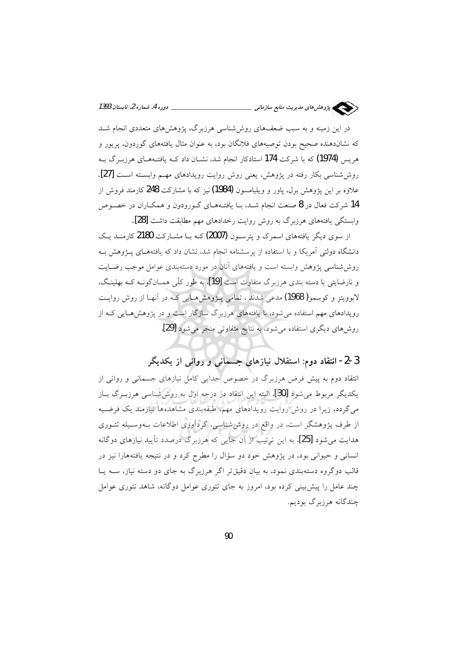

در این زمینه و به سبب ضعفهای روششناسی هرزبرگ، یژوهشهای متعددی انجام شـد که نشاندهنده صحیح بودن توصیههای فلانگان بود، به عنوان مثال یافتههای گوردون، پریور و هریس (1974) که با شرکت 174 استادکار انجام شد، نشــان داد کــه یافتــههــای هرزبــرگ بــه روششناسی بکار رفته در پژوهش، یعنی روش روایت رویدادهای مهم وابسته است [27]. علاوه بر این پژوهش برل، یاور و ویلیامسون **(1984)** نیز که با مشارکت **248** کارمند فروش از 14 شرکت فعال در 8 صنعت انجام شـد، بــا یافتــههــای گــورودون و همکــاران در خصــوص وابستگی یافتههای هرزبرگ به روش روایت رخدادهای مهم مطابقت داشت [28].

از سوی دیگر یافتههای اسمرک و پترسـون (2007)کـه بـا مشـارکت 2180کارمنـد یـک دانشگاه دولتی آمریکا و با استفاده از برسشنامه انجام شد، نشان داد که یافتههـای پــژوهش بـه روش شناسی پژوهش وابسته است و یافتههای آنان در مورد دستهبندی عوامل موجب رضـایت و نارضایتی با دسته بندی هرزبرگ متفاوت است [19]. به طور کلّی همـانگونــه کــه بهلینـگ، لابوویتز و کوسعو **( 1968)** مدعی شدند ، تمامی پیژوهش هیایی کبه در آنها از روش روایت رویدادهای مهم استفاده می شود، با یافتههای هرزبرگ سازگار است و در پژوهش هـایی کـه از روشهای دیگری استفاده می شود، به نتایج متفاوتی منجر می شود [29].

3-2- انتقاد دوم: استقلال نیازهای جسمانی و روانی از یکدیگر

انتقاد دوم به پیش فرض هرزبرگ در خصوص جدایی کامل نیازهای جسمانی و روانی از يكديگر مربوط مي شود [30]. البته اين انتقاد در درجه اول به روش شناسي هرزبـرگ بــاز می گردد، زیرا در روش روایت رویدادهای مهم، طبقهبندی مشاهدهها نیازمند یک فرضـیه از طرف پژوهشگر است. در واقع در روش شناسی، گردآوری اطلاعات بــهوسـيله تئــوری هدایت می شود [25]. به این ترتیب از آن جایی که هرزبرگ درصدد تأیید نیازهای دوگانه انسانی و حیوانی بود، در پژوهش خود دو سؤال را مطرح کرد و در نتیجه یافتههارا نیز در قالب دوگروه دستهبندی نمود. به بیان دقیقتر اگر هرزبرگ به جای دو دسته نیاز، ســه یــا چند عامل را پیش بینی کرده بود، امروز به جای تئوری عوامل دوگانه، شاهد تئوری عوامل چندگانه هرزېرگ بوديم.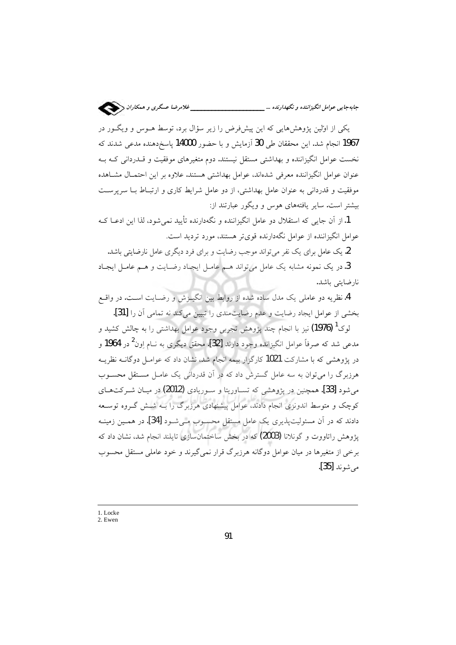یکی از اولین پژوهشهایی که این پیش فرض را زیر سؤال برد، توسط هـوس و ویگـور در 1967 انجام شد. این محققان طی 30 آزمایش و با حضور 14000 پاسخ<code>ca</code>نده مدعی شدند که نخست عوامل انگیزاننده و بهداشتی مستقل نیستند. دوم متغیرهای موفقیت و قــدردانی کـه بــه عنوان عوامل انگیزاننده معرفی شدهاند، عوامل بهداشتی هستند. علاوه بر این احتمـال مشـاهده موفقیت و قدردانی به عنوان عامل بهداشتی، از دو عامل شرایط کاری و ارتبـاط بــا سرپرســت بیشتر است. سایر یافتههای هوس و ویگور عبارتند از:

1.از آن جایی که استقلال دو عامل انگیزاننده و نگهدارنده تأیید نمی شود، لذا این ادعیا ک عوامل انگیزاننده از عوامل نگهدارنده قویتر هستند، مورد تردید است.

2. یک عامل برای یک نفر می تواند موجب رضایت و برای فرد دیگری عامل نارضایتی باشد.

3. در یک نمونه مشابه یک عامل می تواند هـم عامـل ایجـاد رضـایت و هـم عامـل ایجـاد نارضايتي باشد.

4. نظریه دو عاملی یک مدل ساده شده از روابط بین انگیـزش و رضـایت اسـت. در واقـع بخشی از عوامل ایجاد رضایت و عدم رضایت مندی را تبیین میکند نه تمامی آن را [31].

لوک<sup>1</sup> **(1976)** نیز با انجام چند پژوهش تجربی وجود عوامل بهداشتی را به چالش کشید و مدعی شد که صرفاً عوامل انگیزانده وجود دارند [3**2]. م**حقق دیگری به نــام اِون<sup>2</sup> در 1964 و در پژوهشی که با مشارکت 1021 کارگزار بیمه انجام شد، نشان داد که عوامـل دوگانــه نظریــه هرزبرگ را می توان به سه عامل گسترش داد که در آن قدردانی یک عامـل مسـتقل محسـوب می شود [33]. همچنین در پژوهشی که تســاوریتا و ســوریادی (2012) در میــان شــرکتهــای کوچک و متوسط اندونزی انجام دادند، عوامل پیشنهادی هرزبرگ را بـه شــش گــروه توســعه دادند که در آن مسئولیتپذیری یک عامل مستقل محسوب مـیشـود [34]. در همـین زمینـه یژوهش راتاووت و گونلانا (2003) که در بخش ساختمانسازی تایلند انجام شد، نشان داد که برخی از متغیرها در میان عوامل دوگانه هرزبرگ قرار نمی گیرند و خود عاملی مستقل محسوب مرشوند [35].

1. Locke

2. Ewen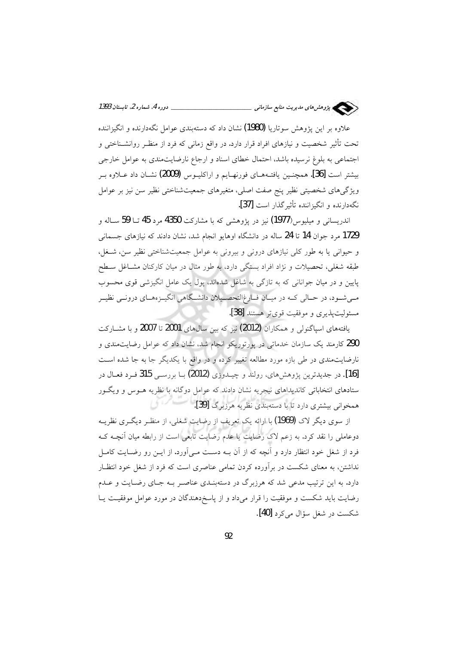

علاوه بر این پژوهش سوتاریا (1980) نشان داد که دستهبندی عوامل نگهدارنده و انگیزاننده تحت تأثیر شخصیت و نیازهای افراد قرار دارد. در واقع زمانی که فرد از منظـر روانشــناختی و اجتماعی به بلوغ نرسیده باشد، احتمال خطای اسناد و ارجاع نارضایتمندی به عوامل خارجی بیشتر است [36]. همچنـین یافتـههـای فورنهـایم و اراکلیـوس (2009) نشـان داد عــلاوه بــر .<br>ویژگیهای شخصیتی نظیر پنج صفت اصلی، متغیرهای جمعیتشناختی نظیر سن نیز بر عوامل نگهدارنده و انگیزاننده تأثیر گذار است [37].

اندریسانی و میلیوس(1977) نیز در پژوهشی که با مشارکت 4350 مرد 45 تــا 59 ســاله و 1729 مرد جوان 14 تا 24 ساله در دانشگاه اوهایو انجام شد، نشان دادند که نیازهای جسمانی و حیوانی یا به طور کلی نیازهای درونی و بیرونی به عوامل جمعیتشناختی نظیر سن، شـغل، طبقه شغلی، تحصیلات و نژاد افراد بستگی دارد، به طور مثال در میان کارکنان مشــاغل ســطح پایین و در میان جوانانی که به تازگی به شاغل شدهاند، پول یک عامل انگیزشی قوی محسوب مـیشـود، در حـالی کـه در میـان فـارغ|لتحصـیلان دانشـگاهی انگیـزههـای درونـی نظیـر مسئوليت پذيري و موفقيت قوي تر هستند [38].

یافتههای اسپاگنول<sub>ی</sub> و همکاران (2012) نیز که بین سال های 2001 تا 2007 و با مشـارکت 290 کارمند یک سازمان خدماتی در پورتوریکو انجام شد، نشان داد که عوامل رضایتمندی و نارضایتمندی در طی بازه مورد مطالعه تغییر کرده و در واقع با یکدیگر جا به جا شده است [16]. در جدیدترین پژوهش های، رولند و چیـدوزی (2012) بــا بررســی 315 فـرد فعــال در ستادهای انتخاباتی کاندیداهای نیجریه نشان دادند که عوامل دوگانه با نظریه هــوس و ویگــور همخوانی بیشتری دارد تا با دستهبندی نظریه هرزبرگ [39].

از سوی دیگر لاک **(1969)** با ارائه یک تعریف از رضایت شغلی، از منظـر دیگــری نظریــه دوعاملی را نقد کرد. به زعم لاک رضایت یا عدم رضایت تابعی است از رابطه میان آنچـه کـه فرد از شغل خود انتظار دارد و آنچه که از آن بــه دســت مــی|آورد. از ایــن رو رضــایت کامــل نداشتن، به معنای شکست در برآورده کردن تمامی عناصری است که فرد از شغل خود انتظـار دارد. به این ترتیب مدعی شد که هرزبرگ در دستهبنـدی عناصـر بـه جـای رضـایت و عــدم رضایت باید شکست و موفقیت را قرار میداد و از پاسخ دهندگان در مورد عوامل موفقیت یـا شکست در شغل سؤال می کرد [40].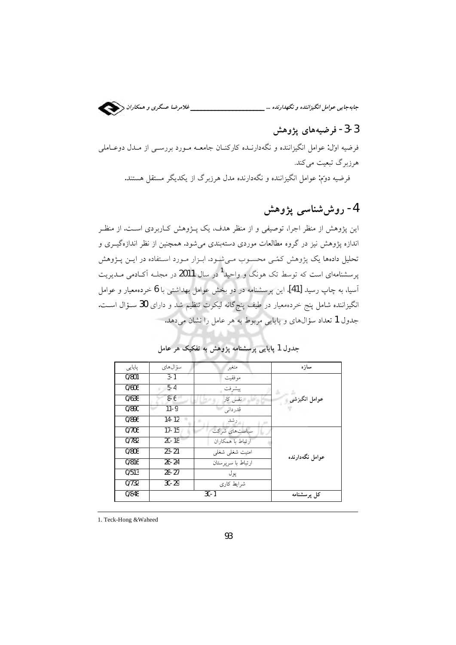

### 3-3- فرضیههای یژوهش

فرضیه اول: عوامل انگیزاننده و نگهدارنـده کارکنـان جامعــه مـورد بررســی از مــدل دوعــاملـی هرزبرگ تبعیت می کند.

فرضیه دوَّم: عوامل انگیزاننده و نگهدارنده مدل هرزیرگ از یکدیگر مستقل هستند.

## 4- روش شناسی پژوهش

این پژوهش از منظر اجرا، توصیفی و از منظر هدف، یک پــژوهش کــاربردی اســت. از منظــر اندازه پژوهش نیز در گروه مطالعات موردی دستهبندی میشود. همچنین از نظر اندازهگیــری و تحلیل دادهها یک پژوهش کمّـی محسـوب مـی.شود. ابـزار مـورد اسـتفاده در ایــن پــژوهش پرسشنامهای است که توسط تک هونگ و واحید<sup>1</sup> در سال **2011** در مجلــه اَکــادمی مــدیریت آسیا، به چاپ رسید [41]. این پرسشنامه در دو بخش عوامل بهداشتی با 6 خردهمعیار و عوامل انگیزاننده شامل پنج خردهمعیار در طیف پنجگانه لیکرت تنظیم شد و دارای 30 سـؤال اسـت. جدول 1 تعداد سؤال0های و پایایی مربوط به هر عامل را نشان میدهد.

| پایایی | سؤ ال@اي  | متغير                 | سازه            |
|--------|-----------|-----------------------|-----------------|
| 0/801  | $3 - 1$   | مو فقيت               |                 |
| 0/606  | $5 - 4$   | پيشرفت                |                 |
| 0/638  | $8-6$     | نفس کار               | عوامل انگیزشی   |
| 0/890  | $11 - 9$  | قدر دانی              |                 |
| 0/896  | $14 - 12$ | رشد                   |                 |
| 0/706  | $17 - 15$ | سیاستهای شرکت         |                 |
| 0/782  | $20 - 18$ | ارتباط با همكاران     |                 |
| 0/808  | $23 - 21$ | امنیت شغلی شغلی       | عوامل نگەدارندە |
| 0/816  | $26 - 24$ | ار تباط با سر پر ستان |                 |
| 0/513  | $28 - 27$ | يو ل                  |                 |
| 0/732  | $30 - 29$ | شرابط کاری            |                 |
| 0/848  |           | $30 - 1$              | كل پرسشنامه     |

جدول 1 پایایی پرسشنامه پژوهش به تفکیک هر عامل

1. Teck-Hong & Waheed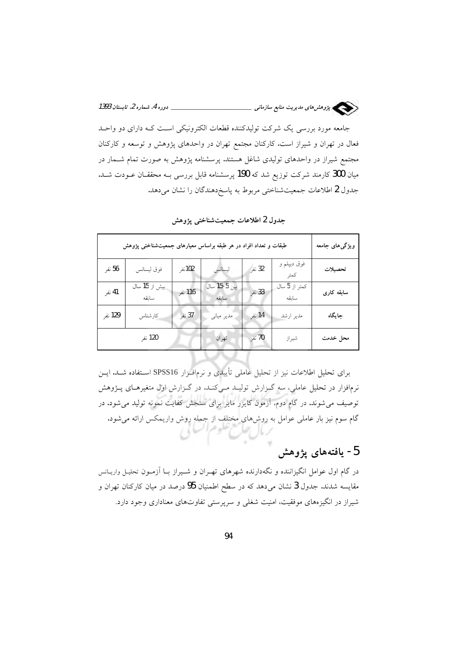

جامعه مورد بررسی یک شرکت تولیدکننده قطعات الکترونیکی است کـه دارای دو واحـد فعال در تهران و شیراز است. کارکنان مجتمع تهران در واحدهای پژوهش و توسعه و کارکنان مجتمع شیراز در واحدهای تولیدی شاغل هستند. پرسشنامه پژوهش به صورت تمام شــمار در میان 300 کارمند شرکت توزیع شد که 190 پرسشنامه قابل بررسی بـه محققـان عــودت شــد. جدول 2 اطلاعات جمعیت شناختی مربوط به پاسخ دهندگان را نشان می دهد.

| طبقات و تعداد افراد در هر طبقه براساس معیارهای جمعیتشناختی پژوهش | ویژگیهای جامعه         |         |                       |        |                        |            |
|------------------------------------------------------------------|------------------------|---------|-----------------------|--------|------------------------|------------|
| 56 نفر                                                           | فوق ليسانس             | 102نفر  | ليسانس                | 32 نفر | فوق ديپلم و<br>كمتر    | تحصيلات    |
| 41 نفر                                                           | بیش از 15 سال<br>سابقه | 116 نفر | بين 5-15 سال<br>سابقه | 33 نفر | كمتر از 5 سال<br>سابقه | سابقه کاری |
| 129 نفر                                                          | كارشناس                | 37 نفر  | مدير مياني            | 14 نفر | مدير ارشد              | جايگاه     |
|                                                                  | 120 نفر                |         | تهران                 | 70 نفر | شيراز                  | محل خدمت   |

جدول 2 اطلاعات جمعیتشناختی یژوهش

برای تحلیل اطلاعات نیز از تحلیل عاملی تأییدی و نرمافـزار SPSS16 اسـتفاده شــد. ایــن نرمافزار در تحلیل عاملی، سه گــزارش تولیــد مــیکنــد. در گــزارش اول متغیرهــای پــژوهش توصیف میشوند. در گام دوم، آزمون کایزر مایر برای سنجش کفایت نمونه تولید می شود. در گام سوم نیز بار عاملی عوامل به روشهای مختلف از جمله روش واریمکس ارائه میشود.

 $\sim$ 

### 5- يافتەھاي يژوهش

در گام اول عوامل انگیزاننده و نگهدارنده شهرهای تهـران و شــیراز بــا آزمــون تحلیـل واریــانس مقایسه شدند. جدول 3 نشان میدهد که در سطح اطمنیان 95 درصد در میان کارکنان تهران و شیراز در انگیزههای موفقیت، امنیت شغلی و سرپرستی تفاوتهای معناداری وجود دارد.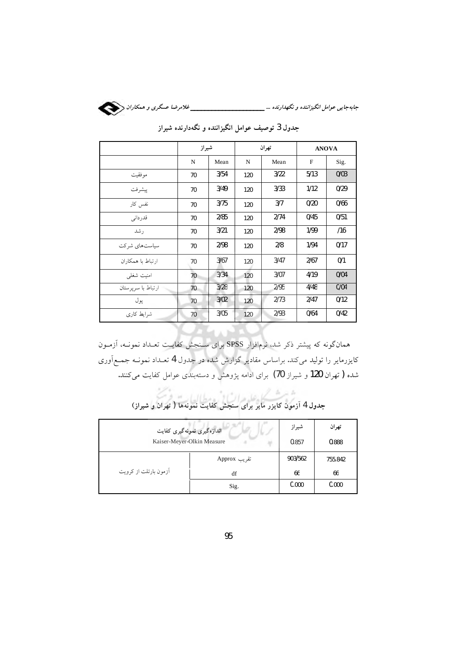

|                    | شيراز |      | تهران |      | <b>ANOVA</b> |      |
|--------------------|-------|------|-------|------|--------------|------|
|                    | N     | Mean | N     | Mean | F            | Sig. |
| موفقيت             | 70    | 3/54 | 120   | 3/22 | 5/13         | 0/03 |
| پيشرفت             | 70    | 3/49 | 120   | 3/33 | 1/12         | 0/29 |
| نفس کار            | 70    | 3/75 | 120   | 3/7  | 0/20         | 0/66 |
| قدرداني            | 70    | 2/85 | 120   | 2/74 | 0/45         | 0/51 |
| ر شد               | 70    | 3/21 | 120   | 2/98 | 1/99         | /16  |
| سیاستهای شرکت      | 70    | 2/98 | 120   | 2/8  | 1/94         | 0/17 |
| ارتباط با همکاران  | 70    | 3/67 | 120   | 3/47 | 2/67         | 0/1  |
| امنیت شغلی         | 70    | 3/34 | 120   | 3/07 | 4/19         | 0/04 |
| ارتباط با سرپرستان | 70    | 3/28 | 120   | 2/95 | 4/48         | 0/04 |
| پول                | 70    | 3/02 | 120   | 2/73 | 2/47         | 0/12 |
| شرایط کاری         | 70    | 3/05 | 120   | 2/93 | 0/64         | 0/42 |

جدول 3 توصیف عوامل انگیزاننده و نگهدارنده شیراز

.<br>همانگونه که پیشتر ذکر شد، نرم|فزار SPSS برای سـنجش کفایــت تعــداد نمونــه، اَزمــون کایزرمایر را تولید میکند. براساس مقادیر گزارش شده در جدول 4 تعــداد نمونــه جمــع|َوری شده ( تهران 120 و شیراز 70) برای ادامه پژوهش و دستهبندی عوامل کفایت میکنند.

| اندازهگیری نمونهگیری کفایت | شيراز        | تهران   |         |
|----------------------------|--------------|---------|---------|
| Kaiser-Meyer-Olkin Measure |              | 0.857   | 0.888   |
|                            | تقریب Approx | 903/562 | 755.842 |
| آزمون بارتلت از کرویت      | df           | 66      | 66      |
|                            | Sig.         | 0.000   | 0.000   |

.<br>جدول 4 آزمون کایزر مایر برای سنجش کفایت نمونهها ( تهران و شیراز)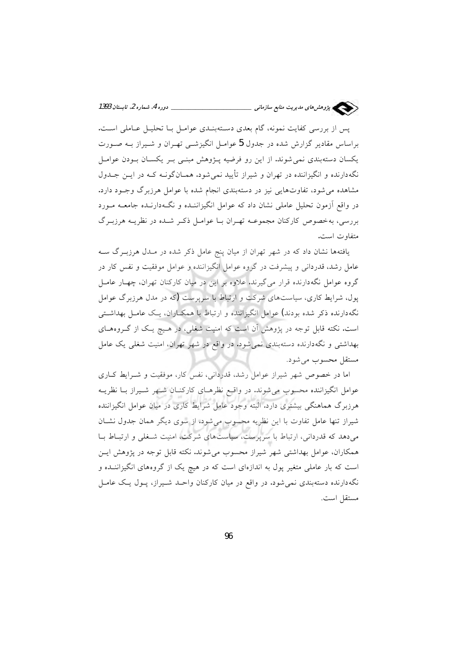

پس از بررسی کفایت نمونه، گام بعدی دستهبنـدی عوامـل بـا تحليـل عـاملی اسـت. براساس مقادیر گزارش شده در جدول 5 عوامـل انگیزشـی تهـران و شـیراز بـه صـورت یکسان دستهبندی نمی شوند. از این رو فرضیه پـژوهش مبنـی بـر یکسـان بـودن عوامـل نگهدارنده و انگیزاننده در تهران و شیراز تأیید نمیشود. همـانگونـه کـه در ایـن جـدول مشاهده می شود، تفاوتهایی نیز در دستهبندی انجام شده با عوامل هرزبرگ وجـود دارد. در واقع آزمون تحلیل عاملی نشان داد که عوامل انگیزاننـده و نگـهدارنـده جامعـه مـورد بررسی، بهخصوص کارکنان مجموعـه تهـران بـا عوامـل ذکـر شـده در نظریـه هرزبـرگ متفاوت است.

یافتهها نشان داد که در شهر تهران از میان پنج عامل ذکر شده در مـدل هرزبـرگ سـه عامل رشد، قدردانی و پیشرفت در گروه عوامل انگیزاننده و عوامل موفقیت و نفس کار در گروه عوامل نگهدارنده قرار میگیرند. علاوه بر این در میان کارکنان تهران، چهـار عامـل یول، شرایط کاری، سیاستهای شرکت و ارتباط با سریرست (که در مدل هرزیرگ عوامل نگهدارنده ذکر شده بودند) عوامل انگیزاننده و ارتباط با همکـاران، یـک عامـل بهداشـتـی است. نکته قابل توجه در پژوهش آن است که امنیت شغلی، در هـیچ یـک از گـروههـای بهداشتی و نگهدارنده دستهبندی نمی شود. در واقع در شهر تهران، امنیت شغلی یک عامل مستقل محسوب مي شود.

اما در خصوص شهر شیراز عوامل رشد، قدردانی، نفس کار، موفقیت و شـرایط کــاری عوامل انگیزاننده محسوب می شوند. در واقع نظرهای کارکنـان شـهر شـیراز بـا نظریــه هرزبرگ هماهنگی بیشتری دارد. البته وجود عامل شرایط کاری در میان عوامل انگیزاننده شیراز تنها عامل تفاوت با این نظریه محسوب میشود. از سوی دیگر همان جدول نشان می دهد که قدردانی، ارتباط با سرپرست، سیاستهای شرکت، امنیت شـغلی و ارتبـاط بـا همکاران، عوامل بهداشتی شهر شیراز محسوب میشوند. نکته قابل توجه در پژوهش ایـن است که بار عاملی متغیر پول به اندازهای است که در هیچ یک از گروههای انگیزاننــده و نگهدارنده دستهبندی نمی شود. در واقع در میان کارکنان واحـد شـیراز، پـول یـک عامـل مستقل است.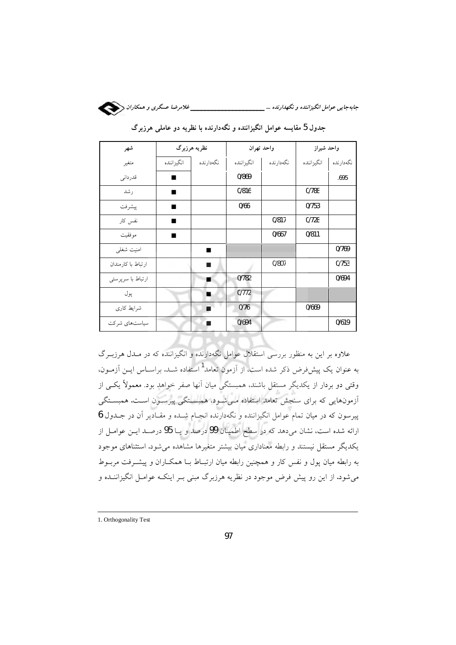

| شهر                |              | نظریه هرزبرگ |            | واحد تهران | واحد شيراز |           |  |
|--------------------|--------------|--------------|------------|------------|------------|-----------|--|
| متغير              | أ انگيزاننده | نگەدارندە    | انگيزاننده | نگەدارندە  | انگيزاننده | نگەدارندە |  |
| قدردانى            | ٠            |              | 0/869      |            |            | .695      |  |
| رشد                | ٠            |              | 0/816      |            | 0/788      |           |  |
| ييشرفت             | ■            |              | 0/66       |            | 0/753      |           |  |
| نفس کار            | ■            |              |            | 0/817      | 0/728      |           |  |
| موفقيت             |              |              |            | 0/667      | 0/811      |           |  |
| امنيت شغلى         |              |              |            |            |            | 0/769     |  |
| ارتباط با كارمندان |              | ш            |            | 0/807      |            | 0/753     |  |
| ارتباط با سرپرستی  |              |              | 0/782      |            |            | 0/694     |  |
| پول                |              |              | 0/772      |            |            |           |  |
| شرايط كارى         |              | ٠            | 0/76       |            | 0/669      |           |  |
| سیاستهای شرکت      |              |              | 0/694      |            |            | 0/619     |  |

جدول 5 مقایسه عوامل انگیزاننده و نگهدارنده با نظریه دو عاملی هرزبرگ

علاوه بر این به منظور بررسی استقلال عوامل نگهدارنده و انگیزاننده که در مـدل هرزبـرگ به عنوان یک پیشفرض ذکر شده است، از آزمون تعامد<sup>1</sup> استفاده شــد. براســاس ایــن آزمــون، وقتی دو بردار از یکدیگر مستقل باشند، همبستگی میان آنها صفر خواهد بود. معمولاً یکسی از ۔<br>آزمونہایی که برای سنجش تعامد استفاده مےشود، همبستگی پیرسـون اسـت. همبسـتگی پیرسون که در میان تمام عوامل انگیزاننده و نگهدارنده انجـام شــده و مقــادیر آن در جــدول 6 ارائه شده است، نشان میدهد که در سطح اطمینان 99 درصد و یــا 95 درصــد ایــن عوامــل از یکدیگر مستقل نیستند و رابطه معناداری میان بیشتر متغیرها مشاهده می شود. استثناهای موجود به رابطه میان یول و نفس کار و همچنین رابطه میان ارتبـاط بــا همکــاران و پیشــرفت مربــوط می شود. از این رو پیش فرض موجود در نظریه هرزبرگ مبنی بــر اینکــه عوامــل انگیزاننــده و

<sup>1.</sup> Orthogonality Test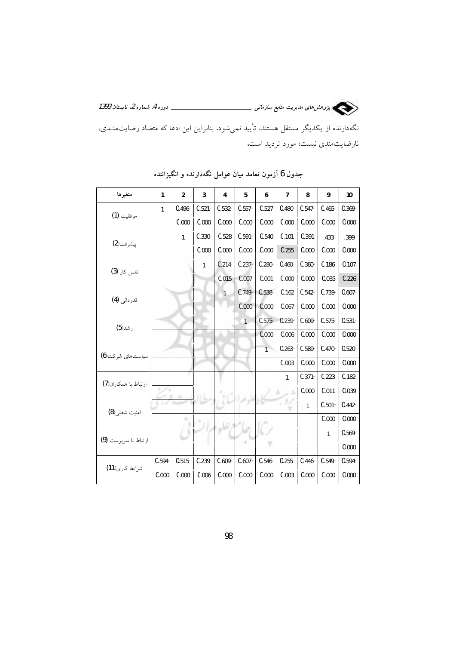نگهدارنده از یکدیگر مستقل هستند، تأیید نمیشود. بنابراین این ادعا که متضاد رضایتمنـدی، نارضایتمندی نیست؛ مورد تردید است.

| متغيرها              | 1         | 2         | 3         | 4            | 5              | 6              | 7            | 8         | 9         | 10        |
|----------------------|-----------|-----------|-----------|--------------|----------------|----------------|--------------|-----------|-----------|-----------|
| موفقيت (1)           | 1         | $0.496 -$ | $0.521 -$ | $0.532 -$    | $0.557 -$      | 0.527          | $0.480 -$    | $0.547 -$ | $0.465 -$ | $0.369 -$ |
|                      |           | 0.000     | 0.000     | 0.000        | 0.000          | 0.000          | 0.000        | 0.000     | 0.000     | 0.000     |
|                      |           | 1         | $0.330 -$ | 0.528        | $0.591 -$      | 0.540          | 0.101        | 0.391     | .433      | .399      |
| پيشرفت(2)            |           |           | 0.000     | 0.000        | 0.000          | 0.000          | 0.255        | 0.000     | 0.000     | 0.000     |
| نفس کار <b>(3)</b>   |           |           | 1         | 0.214        | $0.237 -$      | $0.280 -$      | $0.460 -$    | $0.360 -$ | 0.186     | 0.107     |
|                      |           |           |           | 0.015        | 0.007          | 0.001          | 0.000        | 0.000     | 0.035     | 0.226     |
| قدردانی (4)          |           |           |           | $\mathbf{1}$ | $0.749 -$      | $0.538 -$      | 0.162        | $0.542 -$ | $0.739 -$ | $0.607 -$ |
|                      |           |           |           |              | 0.000          | 0.000          | 0.067        | 0.000     | 0.000     | 0.000     |
| رشد(5)               |           |           |           |              | $\overline{1}$ | $0.575 -$      | $0.239 -$    | $0.609 -$ | $0.575 -$ | $0.531 -$ |
|                      |           |           |           |              |                | 0.000          | 0.006        | 0.000     | 0.000     | 0.000     |
| سیاستهای شرکت(6)     |           |           |           |              |                | $\overline{1}$ | $0.263 -$    | $0.589 -$ | $0.470 -$ | $0.520 -$ |
|                      |           |           |           |              |                |                | 0.003        | 0.000     | 0.000     | 0.000     |
| ارتباط با همكاران(7) |           |           |           |              |                |                | $\mathbf{1}$ | $0.371 -$ | 0.223     | $0.182 -$ |
|                      |           |           |           |              |                |                | s            | 0.000     | 0.011     | 0.039     |
| امنيت شغلي(8)        |           |           |           |              |                |                | 92           | 1         | $0.501 -$ | $0.442 -$ |
|                      |           | ٠         |           |              |                |                |              |           | 0.000     | 0.000     |
| ارتباط با سريرست (9) |           |           |           |              |                |                |              |           | 1         | $0.569 -$ |
|                      |           |           |           |              |                |                |              |           |           | 0.000     |
| شرايط كارى(11)       | $0.594 -$ | $0.515 -$ | $0.239 -$ | $0.609 -$    | $0.607 -$      | $0.546 -$      | $0.255 -$    | $0.446 -$ | $0.549 -$ | $0.594 -$ |
|                      | 0.000     | 0.000     | 0.006     | 0.000        | 0.000          | 0.000          | 0.003        | 0.000     | 0.000     | 0.000     |

جدول 6 آزمون تعامد میان عوامل نگهدارنده و انگیزاننده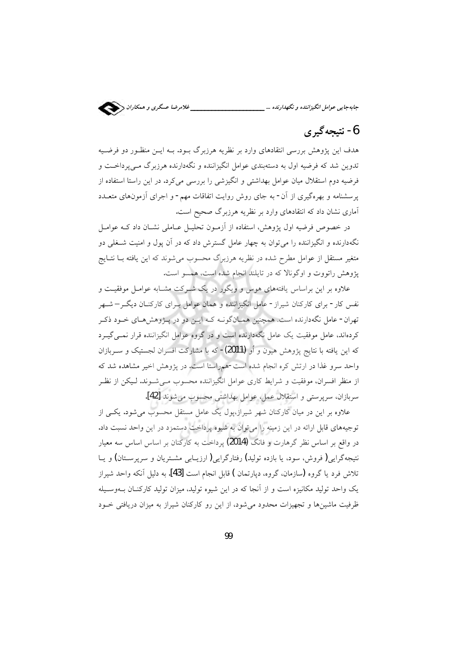

جابهجایی عوامل انگیزاننده و نگهدارنده ...\_\_\_\_\_\_\_

# 6- نتيجه گيري

هدف این پژوهش بررسی انتقادهای وارد بر نظریه هرزبرگ بـود. بـه ایــن منظـور دو فرضـیه تدوین شد که فرضیه اول به دستهبندی عوامل انگیزاننده و نگهدارنده هرزبرگ مــی پرداخــت و فرضیه دوم استقلال میان عوامل بهداشتی و انگیزشی را بررسی می کرد. در این راستا استفاده از پرسشنامه و بهرهگیری از آن- به جای روش روایت اتفاقات مهم- و اجرای آزمونهای متعــدد آماری نشان داد که انتقادهای وارد بر نظریه هرزبرگ صحیح است.

در خصوص فرضیه اول پژوهش، استفاده از آزمـون تحلیـل عـاملی نشـان داد کـه عوامـل نگهدارنده و انگیزاننده را می توان به چهار عامل گسترش داد که در آن یول و امنیت شــغلی دو .<br>متغیر مستقل از عوامل مطرح شده در نظریه هرزبرگ محسوب می شوند که این یافته بــا نتــایج پژوهش راتووت و اوگونالا که در تایلند انجام شده است، همسو است.

علاوه بر این براساس یافتههای هوس و ویگور در یک شـرکت مشـابه عوامـل موفقیـت و نفس کار- برای کارکنان شیراز- عامل انگیزاننده و همان عوامل بـرای کارکنــان دیگــر– شــهر تهران- عامل نگهدارنده است. همچنین همـانگونــه کــه ایــن دو در پــژوهشهــای خــود ذکـر کردهاند، عامل موفقیت یک عامل نگهدارنده است و در گروه عوامل انگیزاننده قرار نمــی&ــرد که این یافته با نتایج پژوهش هیون و اُو **(2011)**- که با مشارکت افسران لجستیک و ســربازان واحد سرو غذا در ارتش کره انجام شده است-همراستا است. در پژوهش اخیر مشاهده شد که از منظر افسران، موفقیت و شرایط کاری عوامل انگیزاننده محسوب مـی شـوند. لـیکن از نظـر سربازان، سرپرستی و استقلال عمل، عوامل بهداشتی محسوب می شوند [42].

علاوه بر این در میان کارکنان شهر شیراز،یول یک عامل مستقل محسوب می شود. یکسی از توجیههای قابل ارائه در این زمینه را می توان به شیوه پرداخت دستمزد در این واحد نسبت داد. در واقع بر اساس نظر گرهارت و فانگ (2014) پرداخت به کارکنان بر اساس اساس سه معیار نتیجهگرایی(فروش، سود، یا بازده تولید) رفتارگرایی(ارزیـابی مشـتریان و سرپرسـتان) و یــا تلاش فرد یا گروه (سازمان، گروه، دیارتمان ) قابل انجام است [43]. به دلیل آنکه واحد شیراز یک واحد تولید مکانیزه است و از آنجا که در این شیوه تولید، میزان تولید کارکنـان بــهوسـیله ظرفیت ماشینها و تجهیزات محدود می شود، از این رو کارکنان شیراز به میزان دریافتی خــود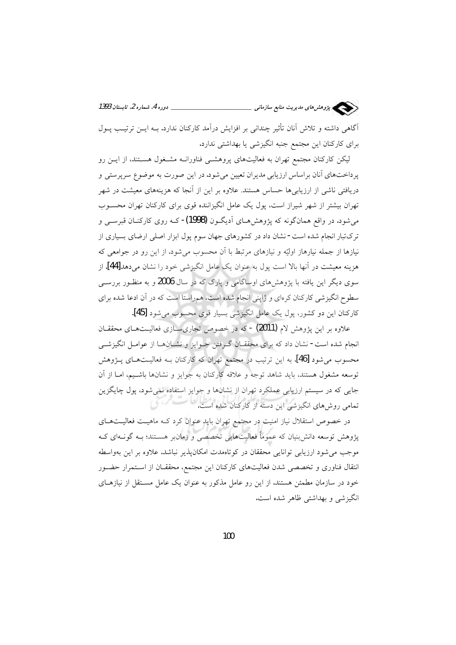\_\_ دوره 4. شماره 2. تابستان 1393 سیسی پژوهش های مدیریت منابع سازمانی \_ آگاهی داشته و تلاش آنان تأثیر چندانی بر افزایش درآمد کارکنان ندارد. بــه ایــن ترتیـب پــول برای کارکنان این مجتمع جنبه انگیزشی یا بهداشتی ندارد.

لیکن کارکنان مجتمع تهران به فعالیتهای پروهشــی فناورانــه مشــغول هســتند، از ایــن رو پرداختهای آنان براساس ارزیابی مدیران تعیین می شود. در این صورت به موضوع سرپرستی و دریافتی ناشی از ارزیابی ها حساس هستند. علاوه بر این از آنجا که هزینههای معیشت در شهر تهران بیشتر از شهر شیراز است، یول یک عامل انگیزاننده قوی برای کارکنان تهران محســوب می شود. در واقع همانگونه که پژوهش هـای آدیگـون (1998)- کـه روی کارکنــان قبرســی و ترکتبار انجام شده است- نشان داد در کشورهای جهان سوم پول ابزار اصلی ارضای بسیاری از نیازها از جمله نیارهاز اولیّه و نیازهای مرتبط با آن محسوب می شود. از این رو در جوامعی که هزينه معيشت در آنها بالا است يول به عنوان يک عامل انگيزشي خود را نشان مي دهد[44]. از سوی دیگر این یافته با پژوهشهای اوساگامی و پارک که در سال 2006 و به منظـور بررســی .<br>سطوح انگیزشی کارکنان کرهای و ژاپنی انجام شده است، همراستا است که در آن ادعا شده برای كاركنان اين دو كشور، يول يك عامل انگيزشي بسيار قوي محسوب مي شود [45].

علاوه بر این پژوهش لام (2011) - که در خصوص تجاری سازی فعالیـتهـای محققـان انجام شده است- نشان داد که برای محققـان گـرفتن جـوایز و نشــانهـا از عوامـل انگیزشــی محسوب می شود [46]. به این ترتیب در مجتمع تهران که کارکنان بـه فعالیــتهـای پــژوهش توسعه مشغول هستند، بايد شاهد توجه و علاقه كاركنان به جوايز و نشانها باشـيم، امـا از آن جایی که در سیستم ارزیابی عملکرد تهران از نشانها و جوایز استفاده نمی شود، پول چایگزین تمامی روش های انگیزشی این دسته از کارکنان شده است.

در خصوص استقلال نیاز امنیت در مجتمع تهران باید عنوان کرد کـه ماهیـت فعالیـتهـای پژوهش توسعه دانش;بنیان که عموماً فعالیتهایی تخصصی و زمانبر هسـتند؛ بــه گونــهای کــه موجب می شود ارزیابی توانایی محققان در کوتاهمدت امکان پذیر نباشد. علاوه بر این بهواسطه انتقال فناوری و تخصصی شدن فعالیتهای کارکنان این مجتمع، محققـان از اسـتمرار حضـور خود در سازمان مطمئن هستند. از این رو عامل مذکور به عنوان یک عامل مسـتقل از نیازهـای انگيزشي و بهداشتي ظاهر شده است.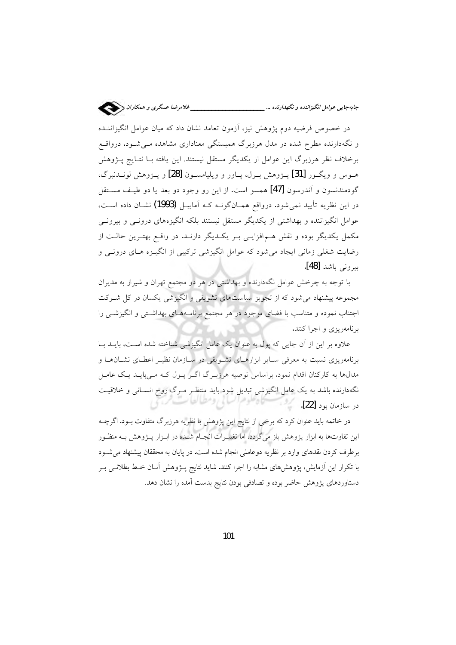در خصوص فرضیه دوم یژوهش نیز، آزمون تعامد نشان داد که میان عوامل انگیزاننــده و نگهدارنده مطرح شده در مدل هرزبرگ همبستگی معناداری مشاهده مـی شـود. درواقـع برخلاف نظر هرزبرگ این عوامل از یکدیگر مستقل نیستند. این یافته بـا نتـایج پــژوهش هـوس و ويگـور [31] پــژوهش بــرل، پــاور و ويليامســون [28] و پــژوهش لونــدنبرگ، گودمندنسون و آندرسون [47] همسو است. از این رو وجود دو بعد یا دو طیـف مسـتقل در این نظریه تأیید نمی شود. درواقع همـانگونــه کــه آمابیــل (1993) نشــان داده اســت، عوامل انگیزاننده و بهداشتی از یکدیگر مستقل نیستند بلکه انگیزههای درونـی و بیرونـی مکمل یکدیگر بوده و نقش هـمافزایـی بـر یکـدیگر دارنـد. در واقـع بهتـرین حالـت از رضایت شغلی زمانی ایجاد می شود که عوامل انگیزشی ترکیبی از انگیـزه هـای درونــی و بيروني باشد [48].

با توجه به چرخش عوامل نگهدارنده و بهداشتی در هر دو مجتمع تهران و شیراز به مدیران مجموعه پیشنهاد می شود که از تجویز سیاستهای تشویقی و انگیزشی یکسان در کل شـرکت اجتناب نموده و متناسب با فضای موجود در هر مجتمع برنامـههـای بهداشـتی و انگیزشـــ را برنامهریزی و اجرا کنند.

علاوه بر این از آن جایی که پول به عنوان یک عامل انگیزشی شناخته شده است، بایــد بــا برنامهریزی نسبت به معرفی سایر ابزارهای تشویقی در سازمان نظیـر اعطـای نشـانهـا و مدالها به کارکنان اقدام نمود. براساس توصیه هرزبـرگ اگـر پـول کـه مـی،بایـد یـک عامـل نگهدارنده باشد به یک عامل انگیزشی تبدیل شود باید منتظـر مـرگ روح انســانی و خلاقیــت فستأوهوه السائي ومطالطات مردا در سازمان بود [22].

در خاتمه باید عنوان کرد که برخی از نتایج این پژوهش با نظریه هرزبرگ متفاوت بـود. اگرچــه این تفاوتها به ابزار پژوهش باز میگردد، اما تغییـرات انجـام شــده در ابـزار پــژوهش بــه منظـور برطرف کردن نقدهای وارد بر نظریه دوعاملی انجام شده است. در پایان به محققان پیشنهاد می شـود با تکرار این اَزمایش، پژوهشهای مشابه را اجرا کنند. شاید نتایج پــژوهش اَنــان خــط بطلانــی بــر دستاوردهای پژوهش حاضر بوده و تصادفی بودن نتایج بدست آمده را نشان دهد.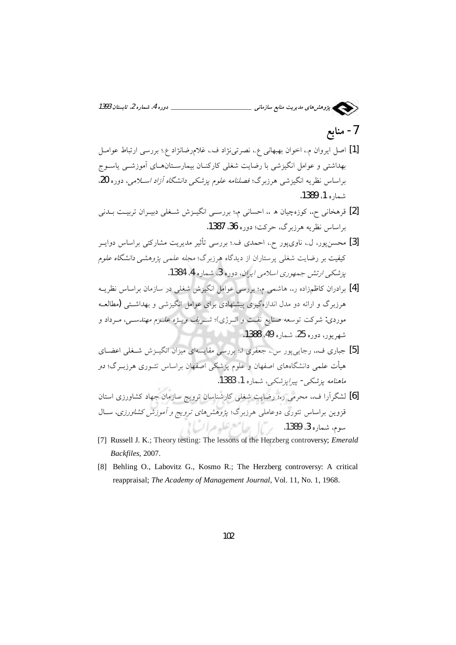

7- منابع

- [1] اصل ايروان م.، اخوان بهبهاني ع.، نصرتي نژاد ف.، غلامرضانژاد ع.؛ بررسي ارتباط عوامـل بهداشتی و عوامل انگیزشی با رضایت شغلی کارکنــان بیمارســتانهــای آموزشــی پاســوج براساس نظريه انگيزشي هرزبرگ؛ فصلنامه علوم يزشكي دانشگاه آزاد اسلامي، دوره 20، شماره 1، 1389.
- [2] قرهخانی ح.، کوزهچیان ه .، احسانی م.؛ بررسـی انگیـزش شـغلی دبیـران تربیـت بـدنی براساس نظريه هرزبرگ، حركت؛ دوره 36، 1387.
- [3] محسن پور، ل.، ناوي پور ح.، احمدي ف.؛ بررسي تأثير مديريت مشاركتي براساس دوايــر کیفیت بر رضایت شغل<sub>ی</sub> پرستاران از دیدگاه هرزبرگ؛ *مجله علمی پژوهشی دانشگاه علوم* یز شکے ارتش جمهوری اسلامے ایران، دورہ 3، شمارہ 4، 1384.
- [4] برادران کاظمزاده ر.، هاشمی م؛ بررسی عوامل انگیزش شغلی در سازمان براساس نظریــه هرزبرگ و ارائه دو مدل اندازهگیری پیشنهادی برای عوامل انگیزشی و بهداشتی **(**مطالعـه موردی: شرکت توسعه صنایع نفـت و انــرژی)؛ *شــریف ویــژه علــوم مهندســی، مــ*رداد و شهريور، دوره 25، شماره 49، 1388.
- [5] جباری ف. رجاییپور س.، جعفری ا.؛ بررسی مقایسهای میزان انگیــزش شــغلی اعضــای هیأت علمی دانشگاههای اصفهان و علوم پزشکی اصفهان براساس تئــوری هرزبــرگ؛ دو ماهنامه يزشكي- پيرايزشكي، شماره 1، 1383.
- [6] لشگرآرا ف. محرمی ر.؛ رضایت شغلی کارشناسان ترویج سازمان جهاد کشاورزی استان قزوین براساس تئوری دوعاملی هرزبرگ؛ *پژوهشهای ترویج و آموزش کشاورزی*، سـال سوم، شعاره 3، 1389. <sub>مر</sub>يل جامع علوم ات) إ
- [7] Russell J. K.; Theory testing: The lessons of the Herzberg controversy; *Emerald* Backfiles, 2007.
- [8] Behling O., Labovitz G., Kosmo R.; The Herzberg controversy: A critical reappraisal; The Academy of Management Journal, Vol. 11, No. 1, 1968.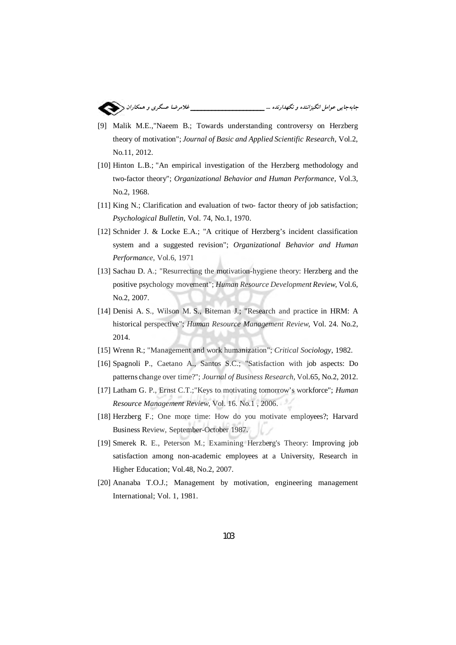

- [9] Malik M.E.,"Naeem B.; Towards understanding controversy on Herzberg theory of motivation": Journal of Basic and Applied Scientific Research, Vol.2. No.11, 2012.
- [10] Hinton L.B.; "An empirical investigation of the Herzberg methodology and two-factor theory"; Organizational Behavior and Human Performance, Vol.3, No.2, 1968.
- [11] King N.; Clarification and evaluation of two-factor theory of job satisfaction; Psychological Bulletin, Vol. 74, No.1, 1970.
- [12] Schnider J. & Locke E.A.; "A critique of Herzberg's incident classification system and a suggested revision"; Organizational Behavior and Human Performance, Vol.6, 1971
- [13] Sachau D. A.; "Resurrecting the motivation-hygiene theory: Herzberg and the positive psychology movement"; Human Resource Development Review, Vol.6, No.2, 2007.
- [14] Denisi A. S., Wilson M. S., Biteman J.; "Research and practice in HRM: A historical perspective"; Human Resource Management Review, Vol. 24. No.2, 2014.
- [15] Wrenn R.; "Management and work humanization"; Critical Sociology, 1982.
- [16] Spagnoli P., Caetano A., Santos S.C.; "Satisfaction with job aspects: Do patterns change over time?"; Journal of Business Research, Vol.65, No.2, 2012.
- [17] Latham G. P., Ernst C.T.;"Keys to motivating tomorrow's workforce"; Human Resource Management Review, Vol. 16. No.1, 2006.
- [18] Herzberg F.; One more time: How do you motivate employees?; Harvard Business Review, September-October 1987.
- [19] Smerek R. E., Peterson M.; Examining Herzberg's Theory: Improving job satisfaction among non-academic employees at a University, Research in Higher Education; Vol.48, No.2, 2007.
- [20] Ananaba T.O.J.; Management by motivation, engineering management International; Vol. 1, 1981.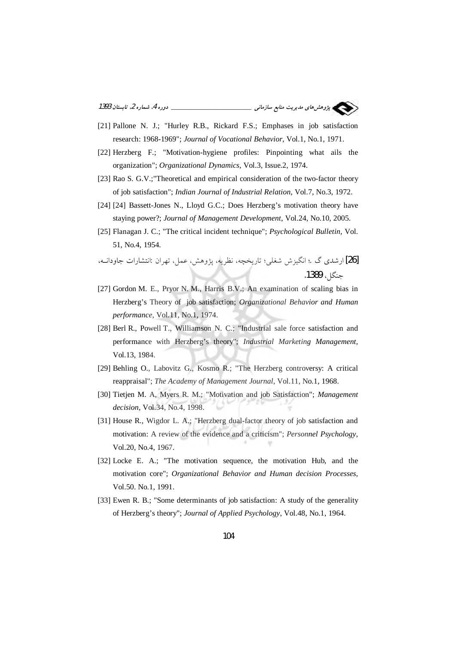(کیلیسی پژوهش *های مدی*ریت منابع *سازمانی \_\_\_\_\_\_\_\_\_\_\_\_\_\_\_\_\_\_\_\_\_\_\_\_\_\_\_\_\_\_ دوره 4. شماره 2. تابستان 1393* 

- [21] Pallone N. J.; "Hurley R.B., Rickard F.S.; Emphases in job satisfaction research: 1968-1969": Journal of Vocational Behavior, Vol.1, No.1, 1971.
- [22] Herzberg F.; "Motivation-hygiene profiles: Pinpointing what ails the organization"; Organizational Dynamics, Vol.3, Issue.2, 1974.
- [23] Rao S. G.V.; "Theoretical and empirical consideration of the two-factor theory of job satisfaction"; Indian Journal of Industrial Relation, Vol.7, No.3, 1972.
- [24] [24] Bassett-Jones N., Lloyd G.C.; Does Herzberg's motivation theory have staying power?; Journal of Management Development, Vol.24, No.10, 2005.
- [25] Flanagan J. C.; "The critical incident technique"; *Psychological Bulletin*, Vol. 51, No.4, 1954.

[26] ارشدي گ .؛ انگيزش شغلي؛ تاريخچه، نظريه، پژوهش، عمل، تهران :انتشارات جاودانــه، حنگل، 1389.

- [27] Gordon M. E., Pryor N. M., Harris B.V.; An examination of scaling bias in Herzberg's Theory of job satisfaction; Organizational Behavior and Human performance, Vol.11, No.1, 1974.
- [28] Berl R., Powell T., Williamson N. C.; "Industrial sale force satisfaction and performance with Herzberg's theory": Industrial Marketing Management. Vol.13, 1984.
- [29] Behling O., Labovitz G., Kosmo R.; "The Herzberg controversy: A critical reappraisal"; The Academy of Management Journal, Vol.11, No.1, 1968.
- [30] Tietjen M. A, Myers R. M.; "Motivation and job Satisfaction"; Management decision, Vol.34, No.4, 1998.
- [31] House R., Wigdor L. A.; "Herzberg dual-factor theory of job satisfaction and motivation: A review of the evidence and a criticism": *Personnel Psychology*, Vol.20, No.4, 1967.
- [32] Locke E. A.; "The motivation sequence, the motivation Hub, and the motivation core"; Organizational Behavior and Human decision Processes, Vol.50. No.1, 1991.
- [33] Ewen R. B.; "Some determinants of job satisfaction: A study of the generality of Herzberg's theory"; Journal of Applied Psychology, Vol.48, No.1, 1964.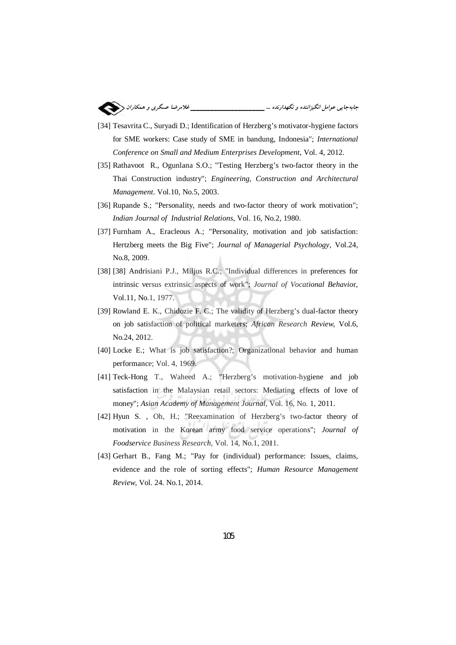

- [34] Tesavrita C., Suryadi D.; Identification of Herzberg's motivator-hygiene factors for SME workers: Case study of SME in bandung, Indonesia"; *International Conference on Small and Medium Enterprises Development*, Vol. 4, 2012.
- [35] Rathavoot R., Ogunlana S.O.; "Testing Herzberg's two-factor theory in the Thai Construction industry"; *Engineering, Construction and Architectural Management*. Vol.10, No.5, 2003.
- [36] Rupande S.; "Personality, needs and two-factor theory of work motivation"; *Indian Journal of Industrial Relations*, Vol. 16, No.2, 1980.
- [37] Furnham A., Eracleous A.; "Personality, motivation and job satisfaction: Hertzberg meets the Big Five"; *Journal of Managerial Psychology*, Vol.24, No.8, 2009.
- [38] [38] Andrisiani P.J., Miljus R.C.; "Individual differences in preferences for intrinsic versus extrinsic aspects of work"; *Journal of Vocational Behavio*r, Vol.11, No.1, 1977.
- [39] Rowland E. K., Chidozie F. C.; The validity of Herzberg's dual-factor theory on job satisfaction of political marketers; *African Research Review*, Vol.6, No.24, 2012.
- [40] Locke E.; What is job satisfaction?; Organizational behavior and human performance; Vol. 4, 1969.
- [41] Teck-Hong T., Waheed A.; "Herzberg's motivation-hygiene and job satisfaction in the Malaysian retail sectors: Mediating effects of love of money"; *Asian Academy of Management Journal*, Vol. 16, No. 1, 2011.
- [42] Hyun S. , Oh, H.; "Reexamination of Herzberg's two-factor theory of motivation in the Korean army food service operations"; *Journal of Foodservice Business Research*, Vol. 14, No.1, 2011.
- [43] Gerhart B., Fang M.; "Pay for (individual) performance: Issues, claims, evidence and the role of sorting effects"; *Human Resource Management Review*, Vol. 24. No.1, 2014.